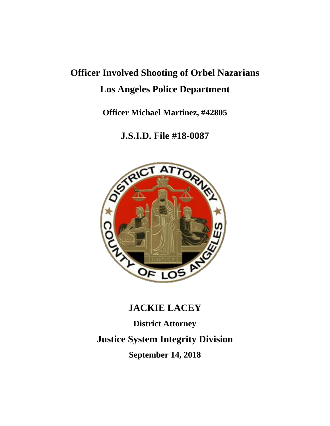## **Officer Involved Shooting of Orbel Nazarians Los Angeles Police Department**

**Officer Michael Martinez, #42805**

**J.S.I.D. File #18-0087**



# **JACKIE LACEY District Attorney Justice System Integrity Division September 14, 2018**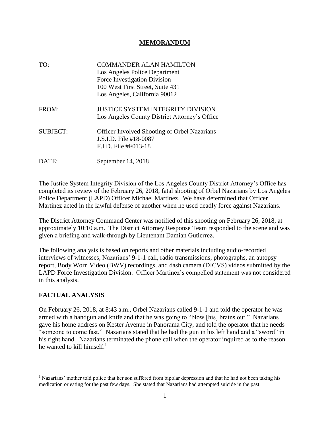#### **MEMORANDUM**

TO: COMMANDER ALAN HAMILTON Los Angeles Police Department Force Investigation Division 100 West First Street, Suite 431 Los Angeles, California 90012 FROM: **JUSTICE SYSTEM INTEGRITY DIVISION** Los Angeles County District Attorney's Office SUBJECT: Officer Involved Shooting of Orbel Nazarians J.S.I.D. File #18-0087 F.I.D. File #F013-18 DATE: September 14, 2018

The Justice System Integrity Division of the Los Angeles County District Attorney's Office has completed its review of the February 26, 2018, fatal shooting of Orbel Nazarians by Los Angeles Police Department (LAPD) Officer Michael Martinez. We have determined that Officer Martinez acted in the lawful defense of another when he used deadly force against Nazarians.

The District Attorney Command Center was notified of this shooting on February 26, 2018, at approximately 10:10 a.m. The District Attorney Response Team responded to the scene and was given a briefing and walk-through by Lieutenant Damian Gutierrez.

The following analysis is based on reports and other materials including audio-recorded interviews of witnesses, Nazarians' 9-1-1 call, radio transmissions, photographs, an autopsy report, Body Worn Video (BWV) recordings, and dash camera (DICVS) videos submitted by the LAPD Force Investigation Division. Officer Martinez's compelled statement was not considered in this analysis.

#### **FACTUAL ANALYSIS**

On February 26, 2018, at 8:43 a.m., Orbel Nazarians called 9-1-1 and told the operator he was armed with a handgun and knife and that he was going to "blow [his] brains out." Nazarians gave his home address on Kester Avenue in Panorama City, and told the operator that he needs "someone to come fast." Nazarians stated that he had the gun in his left hand and a "sword" in his right hand. Nazarians terminated the phone call when the operator inquired as to the reason he wanted to kill himself. 1

<sup>&</sup>lt;sup>1</sup> Nazarians' mother told police that her son suffered from bipolar depression and that he had not been taking his medication or eating for the past few days. She stated that Nazarians had attempted suicide in the past.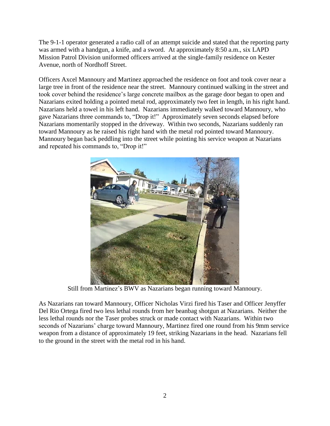The 9-1-1 operator generated a radio call of an attempt suicide and stated that the reporting party was armed with a handgun, a knife, and a sword. At approximately 8:50 a.m., six LAPD Mission Patrol Division uniformed officers arrived at the single-family residence on Kester Avenue, north of Nordhoff Street.

Officers Axcel Mannoury and Martinez approached the residence on foot and took cover near a large tree in front of the residence near the street. Mannoury continued walking in the street and took cover behind the residence's large concrete mailbox as the garage door began to open and Nazarians exited holding a pointed metal rod, approximately two feet in length, in his right hand. Nazarians held a towel in his left hand. Nazarians immediately walked toward Mannoury, who gave Nazarians three commands to, "Drop it!" Approximately seven seconds elapsed before Nazarians momentarily stopped in the driveway. Within two seconds, Nazarians suddenly ran toward Mannoury as he raised his right hand with the metal rod pointed toward Mannoury. Mannoury began back peddling into the street while pointing his service weapon at Nazarians and repeated his commands to, "Drop it!"



Still from Martinez's BWV as Nazarians began running toward Mannoury.

As Nazarians ran toward Mannoury, Officer Nicholas Virzi fired his Taser and Officer Jenyffer Del Rio Ortega fired two less lethal rounds from her beanbag shotgun at Nazarians. Neither the less lethal rounds nor the Taser probes struck or made contact with Nazarians. Within two seconds of Nazarians' charge toward Mannoury, Martinez fired one round from his 9mm service weapon from a distance of approximately 19 feet, striking Nazarians in the head. Nazarians fell to the ground in the street with the metal rod in his hand.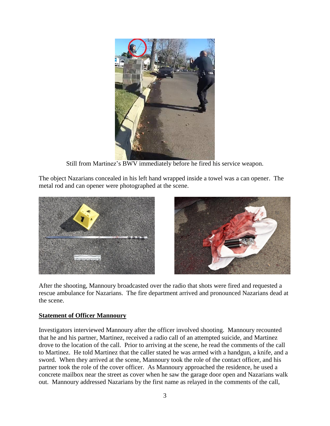

Still from Martinez's BWV immediately before he fired his service weapon.

The object Nazarians concealed in his left hand wrapped inside a towel was a can opener. The metal rod and can opener were photographed at the scene.





After the shooting, Mannoury broadcasted over the radio that shots were fired and requested a rescue ambulance for Nazarians. The fire department arrived and pronounced Nazarians dead at the scene.

#### **Statement of Officer Mannoury**

Investigators interviewed Mannoury after the officer involved shooting. Mannoury recounted that he and his partner, Martinez, received a radio call of an attempted suicide, and Martinez drove to the location of the call. Prior to arriving at the scene, he read the comments of the call to Martinez. He told Martinez that the caller stated he was armed with a handgun, a knife, and a sword. When they arrived at the scene, Mannoury took the role of the contact officer, and his partner took the role of the cover officer. As Mannoury approached the residence, he used a concrete mailbox near the street as cover when he saw the garage door open and Nazarians walk out. Mannoury addressed Nazarians by the first name as relayed in the comments of the call,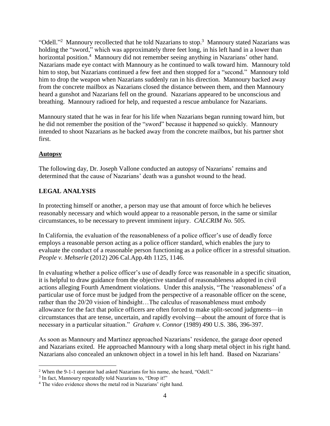"Odell."<sup>2</sup> Mannoury recollected that he told Nazarians to stop.<sup>3</sup> Mannoury stated Nazarians was holding the "sword," which was approximately three feet long, in his left hand in a lower than horizontal position.<sup>4</sup> Mannoury did not remember seeing anything in Nazarians' other hand. Nazarians made eye contact with Mannoury as he continued to walk toward him. Mannoury told him to stop, but Nazarians continued a few feet and then stopped for a "second." Mannoury told him to drop the weapon when Nazarians suddenly ran in his direction. Mannoury backed away from the concrete mailbox as Nazarians closed the distance between them, and then Mannoury heard a gunshot and Nazarians fell on the ground. Nazarians appeared to be unconscious and breathing. Mannoury radioed for help, and requested a rescue ambulance for Nazarians.

Mannoury stated that he was in fear for his life when Nazarians began running toward him, but he did not remember the position of the "sword" because it happened so quickly. Mannoury intended to shoot Nazarians as he backed away from the concrete mailbox, but his partner shot first.

#### **Autopsy**

The following day, Dr. Joseph Vallone conducted an autopsy of Nazarians' remains and determined that the cause of Nazarians' death was a gunshot wound to the head.

### **LEGAL ANALYSIS**

In protecting himself or another, a person may use that amount of force which he believes reasonably necessary and which would appear to a reasonable person, in the same or similar circumstances, to be necessary to prevent imminent injury. *CALCRIM No.* 505.

In California, the evaluation of the reasonableness of a police officer's use of deadly force employs a reasonable person acting as a police officer standard, which enables the jury to evaluate the conduct of a reasonable person functioning as a police officer in a stressful situation. *People v. Mehserle* (2012) 206 Cal.App.4th 1125, 1146.

In evaluating whether a police officer's use of deadly force was reasonable in a specific situation, it is helpful to draw guidance from the objective standard of reasonableness adopted in civil actions alleging Fourth Amendment violations. Under this analysis, "The 'reasonableness' of a particular use of force must be judged from the perspective of a reasonable officer on the scene, rather than the 20/20 vision of hindsight…The calculus of reasonableness must embody allowance for the fact that police officers are often forced to make split-second judgments—in circumstances that are tense, uncertain, and rapidly evolving—about the amount of force that is necessary in a particular situation." *Graham v. Connor* (1989) 490 U.S. 386, 396-397.

As soon as Mannoury and Martinez approached Nazarians' residence, the garage door opened and Nazarians exited. He approached Mannoury with a long sharp metal object in his right hand. Nazarians also concealed an unknown object in a towel in his left hand. Based on Nazarians'

<sup>2</sup> When the 9-1-1 operator had asked Nazarians for his name, she heard, "Odell."

<sup>&</sup>lt;sup>3</sup> In fact, Mannoury repeatedly told Nazarians to, "Drop it!"

<sup>4</sup> The video evidence shows the metal rod in Nazarians' right hand.